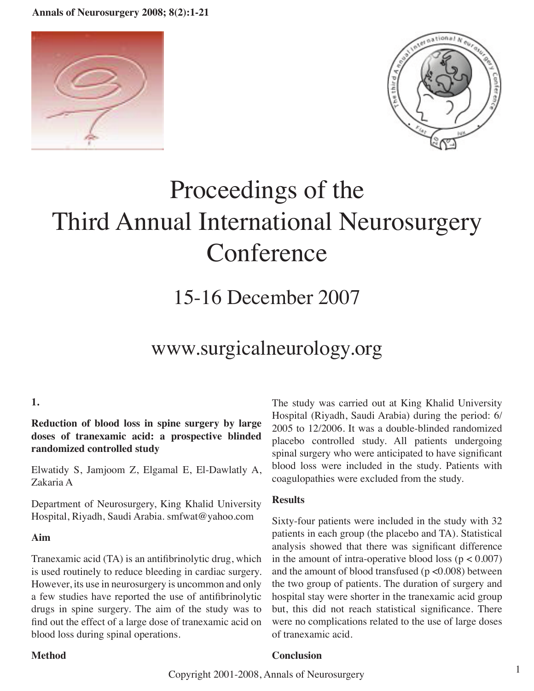**Annals of Neurosurgery 2008; 8(2):1-21**





# Proceedings of the Third Annual International Neurosurgery **Conference**

## 15-16 December 2007

### www.surgicalneurology.org

#### **1.**

**Reduction of blood loss in spine surgery by large doses of tranexamic acid: a prospective blinded randomized controlled study**

Elwatidy S, Jamjoom Z, Elgamal E, El-Dawlatly A, Zakaria A

Department of Neurosurgery, King Khalid University Hospital, Riyadh, Saudi Arabia. smfwat@yahoo.com

#### **Aim**

Tranexamic acid (TA) is an antifibrinolytic drug, which is used routinely to reduce bleeding in cardiac surgery. However, its use in neurosurgery is uncommon and only a few studies have reported the use of antifibrinolytic drugs in spine surgery. The aim of the study was to find out the effect of a large dose of tranexamic acid on blood loss during spinal operations.

The study was carried out at King Khalid University Hospital (Riyadh, Saudi Arabia) during the period: 6/ 2005 to 12/2006. It was a double-blinded randomized placebo controlled study. All patients undergoing spinal surgery who were anticipated to have significant blood loss were included in the study. Patients with coagulopathies were excluded from the study.

#### **Results**

Sixty-four patients were included in the study with 32 patients in each group (the placebo and TA). Statistical analysis showed that there was significant difference in the amount of intra-operative blood loss ( $p < 0.007$ ) and the amount of blood transfused ( $p < 0.008$ ) between the two group of patients. The duration of surgery and hospital stay were shorter in the tranexamic acid group but, this did not reach statistical significance. There were no complications related to the use of large doses of tranexamic acid.

#### **Method**

#### **Conclusion**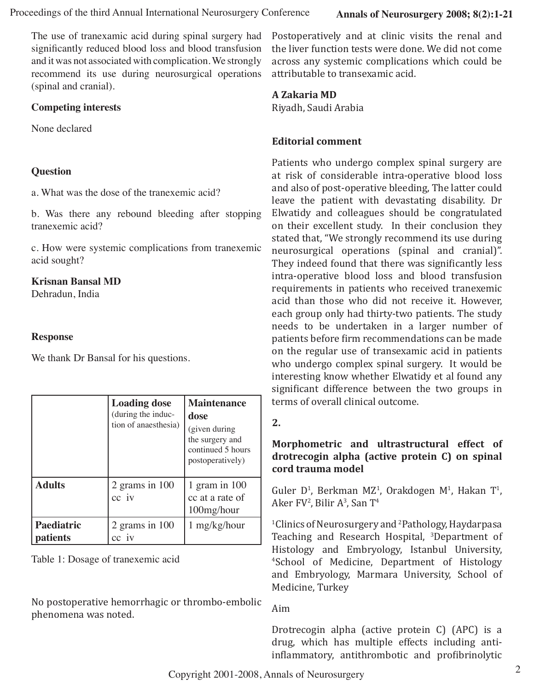The use of tranexamic acid during spinal surgery had significantly reduced blood loss and blood transfusion and it was not associated with complication. We strongly recommend its use during neurosurgical operations (spinal and cranial).

#### **Competing interests**

None declared

#### **Question**

a. What was the dose of the tranexemic acid?

b. Was there any rebound bleeding after stopping tranexemic acid?

c. How were systemic complications from tranexemic acid sought?

#### **Krisnan Bansal MD**

Dehradun, India

#### **Response**

We thank Dr Bansal for his questions.

|                        | <b>Loading dose</b><br>(during the induc-<br>tion of anaesthesia) | <b>Maintenance</b><br>dose<br>(given during<br>the surgery and<br>continued 5 hours<br>postoperatively) |
|------------------------|-------------------------------------------------------------------|---------------------------------------------------------------------------------------------------------|
| <b>Adults</b>          | 2 grams in $100$<br>cc iv                                         | 1 gram in $100$<br>cc at a rate of<br>100mg/hour                                                        |
| Paediatric<br>patients | 2 grams in $100$                                                  | 1 mg/kg/hour                                                                                            |

Table 1: Dosage of tranexemic acid

No postoperative hemorrhagic or thrombo-embolic phenomena was noted.

Postoperatively and at clinic visits the renal and the liver function tests were done. We did not come across any systemic complications which could be attributable to transexamic acid.

#### **A Zakaria MD**

Riyadh, Saudi Arabia

#### **Editorial comment**

Patients who undergo complex spinal surgery are at risk of considerable intra-operative blood loss and also of post-operative bleeding, The latter could leave the patient with devastating disability. Dr Elwatidy and colleagues should be congratulated on their excellent study. In their conclusion they stated that, "We strongly recommend its use during neurosurgical operations (spinal and cranial)". They indeed found that there was significantly less intra-operative blood loss and blood transfusion requirements in patients who received tranexemic acid than those who did not receive it. However, each group only had thirty-two patients. The study needs to be undertaken in a larger number of patients before firm recommendations can be made on the regular use of transexamic acid in patients who undergo complex spinal surgery. It would be interesting know whether Elwatidy et al found any significant difference between the two groups in terms of overall clinical outcome.

#### **2.**

#### **Morphometric and ultrastructural effect of drotrecogin alpha (active protein C) on spinal cord trauma model**

Guler D<sup>1</sup>, Berkman MZ<sup>1</sup>, Orakdogen M<sup>1</sup>, Hakan T<sup>1</sup>, Aker FV<sup>2</sup>, Bilir A<sup>3</sup>, San T<sup>4</sup>

<sup>1</sup>Clinics of Neurosurgery and <sup>2</sup>Pathology, Haydarpasa Teaching and Research Hospital, <sup>3</sup>Department of Histology and Embryology, Istanbul University, 4 School of Medicine, Department of Histology and Embryology, Marmara University, School of Medicine, Turkey

Aim

Drotrecogin alpha (active protein C) (APC) is a drug, which has multiple effects including antiinflammatory, antithrombotic and profibrinolytic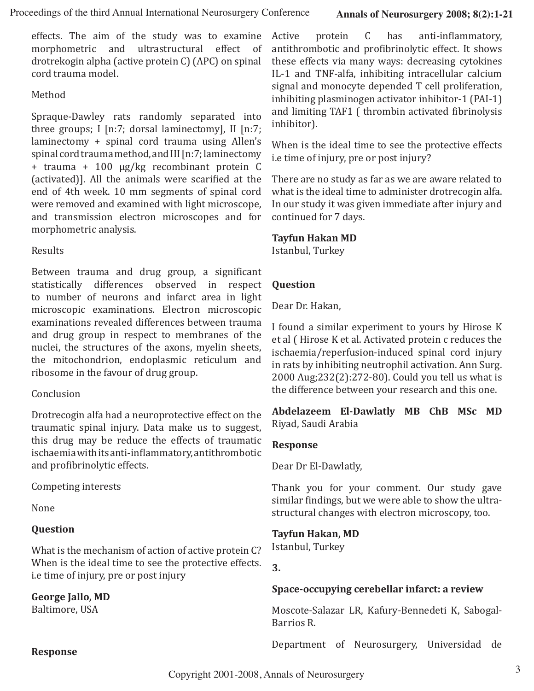effects. The aim of the study was to examine morphometric and ultrastructural effect of drotrekogin alpha (active protein C) (APC) on spinal cord trauma model.

#### Method

Spraque-Dawley rats randomly separated into three groups; I [n:7; dorsal laminectomy], II [n:7; laminectomy + spinal cord trauma using Allen's spinal cord trauma method, and III [n:7; laminectomy + trauma + 100 μg/kg recombinant protein C (activated)]. All the animals were scarified at the end of 4th week. 10 mm segments of spinal cord were removed and examined with light microscope, and transmission electron microscopes and for morphometric analysis.

#### Results

Between trauma and drug group, a significant statistically differences observed in respect to number of neurons and infarct area in light microscopic examinations. Electron microscopic examinations revealed differences between trauma and drug group in respect to membranes of the nuclei, the structures of the axons, myelin sheets, the mitochondrion, endoplasmic reticulum and ribosome in the favour of drug group.

#### **Conclusion**

Drotrecogin alfa had a neuroprotective effect on the traumatic spinal injury. Data make us to suggest, this drug may be reduce the effects of traumatic ischaemia with its anti-inflammatory, antithrombotic and profibrinolytic effects.

#### Competing interests

None

#### **Question**

What is the mechanism of action of active protein C? When is the ideal time to see the protective effects. i.e time of injury, pre or post injury

#### **George Jallo, MD**

Baltimore, USA

Active protein C has anti-inflammatory, antithrombotic and profibrinolytic effect. It shows these effects via many ways: decreasing cytokines IL-1 and TNF-alfa, inhibiting intracellular calcium signal and monocyte depended T cell proliferation, inhibiting plasminogen activator inhibitor-1 (PAI-1) and limiting TAF1 ( thrombin activated fibrinolysis inhibitor).

When is the ideal time to see the protective effects i.e time of injury, pre or post injury?

There are no study as far as we are aware related to what is the ideal time to administer drotrecogin alfa. In our study it was given immediate after injury and continued for 7 days.

#### **Tayfun Hakan MD**

Istanbul, Turkey

#### **Question**

Dear Dr. Hakan,

I found a similar experiment to yours by Hirose K et al ( Hirose K et al. Activated protein c reduces the ischaemia/reperfusion-induced spinal cord injury in rats by inhibiting neutrophil activation. Ann Surg. 2000 Aug;232(2):272-80). Could you tell us what is the difference between your research and this one.

**Abdelazeem El-Dawlatly MB ChB MSc MD** Riyad, Saudi Arabia

#### **Response**

Dear Dr El-Dawlatly,

Thank you for your comment. Our study gave similar findings, but we were able to show the ultrastructural changes with electron microscopy, too.

#### **Tayfun Hakan, MD**

Istanbul, Turkey

**3.**

#### **Space-occupying cerebellar infarct: a review**

Moscote-Salazar LR, Kafury-Bennedeti K, Sabogal-Barrios R.

Department of Neurosurgery, Universidad de

#### **Response**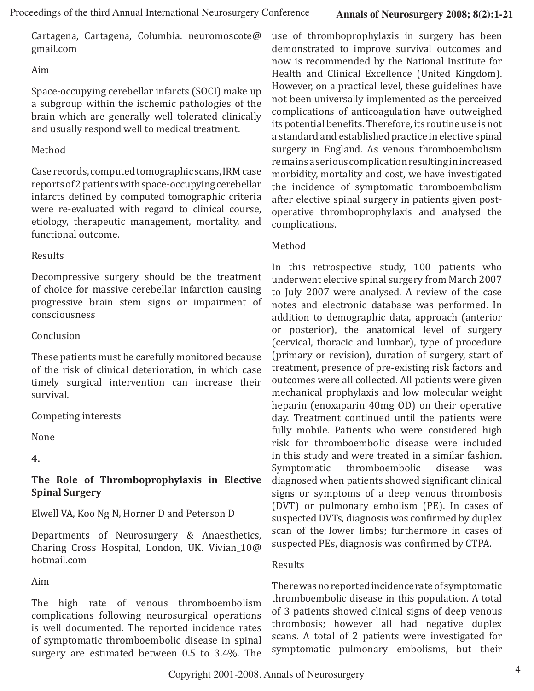Cartagena, Cartagena, Columbia. neuromoscote@ gmail.com

Aim

Space-occupying cerebellar infarcts (SOCI) make up a subgroup within the ischemic pathologies of the brain which are generally well tolerated clinically and usually respond well to medical treatment.

#### Method

Case records, computed tomographic scans, IRM case reports of 2 patients with space-occupying cerebellar infarcts defined by computed tomographic criteria were re-evaluated with regard to clinical course, etiology, therapeutic management, mortality, and functional outcome.

#### Results

Decompressive surgery should be the treatment of choice for massive cerebellar infarction causing progressive brain stem signs or impairment of consciousness

#### Conclusion

These patients must be carefully monitored because of the risk of clinical deterioration, in which case timely surgical intervention can increase their survival.

#### Competing interests

None

**4.**

#### **The Role of Thromboprophylaxis in Elective Spinal Surgery**

Elwell VA, Koo Ng N, Horner D and Peterson D

Departments of Neurosurgery & Anaesthetics, Charing Cross Hospital, London, UK. Vivian\_10@ hotmail.com

Aim

The high rate of venous thromboembolism complications following neurosurgical operations is well documented. The reported incidence rates of symptomatic thromboembolic disease in spinal surgery are estimated between 0.5 to 3.4%. The use of thromboprophylaxis in surgery has been demonstrated to improve survival outcomes and now is recommended by the National Institute for Health and Clinical Excellence (United Kingdom). However, on a practical level, these guidelines have not been universally implemented as the perceived complications of anticoagulation have outweighed its potential benefits. Therefore, its routine use is not a standard and established practice in elective spinal surgery in England. As venous thromboembolism remains a serious complication resulting in increased morbidity, mortality and cost, we have investigated the incidence of symptomatic thromboembolism after elective spinal surgery in patients given postoperative thromboprophylaxis and analysed the complications.

#### Method

In this retrospective study, 100 patients who underwent elective spinal surgery from March 2007 to July 2007 were analysed. A review of the case notes and electronic database was performed. In addition to demographic data, approach (anterior or posterior), the anatomical level of surgery (cervical, thoracic and lumbar), type of procedure (primary or revision), duration of surgery, start of treatment, presence of pre-existing risk factors and outcomes were all collected. All patients were given mechanical prophylaxis and low molecular weight heparin (enoxaparin 40mg OD) on their operative day. Treatment continued until the patients were fully mobile. Patients who were considered high risk for thromboembolic disease were included in this study and were treated in a similar fashion. thromboembolic disease was diagnosed when patients showed significant clinical signs or symptoms of a deep venous thrombosis (DVT) or pulmonary embolism (PE). In cases of suspected DVTs, diagnosis was confirmed by duplex scan of the lower limbs; furthermore in cases of suspected PEs, diagnosis was confirmed by CTPA.

#### Results

There was no reported incidence rate of symptomatic thromboembolic disease in this population. A total of 3 patients showed clinical signs of deep venous thrombosis; however all had negative duplex scans. A total of 2 patients were investigated for symptomatic pulmonary embolisms, but their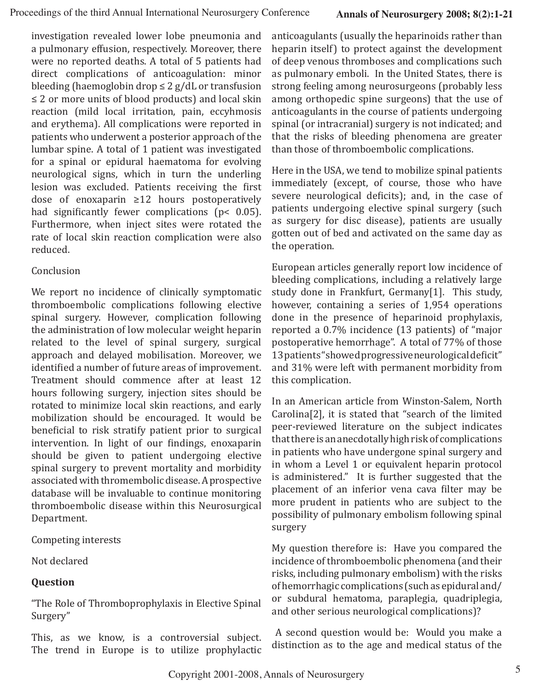investigation revealed lower lobe pneumonia and a pulmonary effusion, respectively. Moreover, there were no reported deaths. A total of 5 patients had direct complications of anticoagulation: minor bleeding (haemoglobin drop  $\leq 2$  g/dL or transfusion ≤ 2 or more units of blood products) and local skin reaction (mild local irritation, pain, eccyhmosis and erythema). All complications were reported in patients who underwent a posterior approach of the lumbar spine. A total of 1 patient was investigated for a spinal or epidural haematoma for evolving neurological signs, which in turn the underling lesion was excluded. Patients receiving the first dose of enoxaparin ≥12 hours postoperatively had significantly fewer complications (p< 0.05). Furthermore, when inject sites were rotated the rate of local skin reaction complication were also reduced.

#### Conclusion

We report no incidence of clinically symptomatic thromboembolic complications following elective spinal surgery. However, complication following the administration of low molecular weight heparin related to the level of spinal surgery, surgical approach and delayed mobilisation. Moreover, we identified a number of future areas of improvement. Treatment should commence after at least 12 hours following surgery, injection sites should be rotated to minimize local skin reactions, and early mobilization should be encouraged. It would be beneficial to risk stratify patient prior to surgical intervention. In light of our findings, enoxaparin should be given to patient undergoing elective spinal surgery to prevent mortality and morbidity associated with thromembolic disease. A prospective database will be invaluable to continue monitoring thromboembolic disease within this Neurosurgical Department.

Competing interests

Not declared

#### **Question**

"The Role of Thromboprophylaxis in Elective Spinal Surgery"

This, as we know, is a controversial subject. The trend in Europe is to utilize prophylactic anticoagulants (usually the heparinoids rather than heparin itself) to protect against the development of deep venous thromboses and complications such as pulmonary emboli. In the United States, there is strong feeling among neurosurgeons (probably less among orthopedic spine surgeons) that the use of anticoagulants in the course of patients undergoing spinal (or intracranial) surgery is not indicated; and that the risks of bleeding phenomena are greater than those of thromboembolic complications.

Here in the USA, we tend to mobilize spinal patients immediately (except, of course, those who have severe neurological deficits); and, in the case of patients undergoing elective spinal surgery (such as surgery for disc disease), patients are usually gotten out of bed and activated on the same day as the operation.

European articles generally report low incidence of bleeding complications, including a relatively large study done in Frankfurt, Germany[1]. This study, however, containing a series of 1,954 operations done in the presence of heparinoid prophylaxis, reported a 0.7% incidence (13 patients) of "major postoperative hemorrhage". A total of 77% of those 13 patients "showed progressive neurological deficit" and 31% were left with permanent morbidity from this complication.

In an American article from Winston-Salem, North Carolina[2], it is stated that "search of the limited peer-reviewed literature on the subject indicates that there is an anecdotally high risk of complications in patients who have undergone spinal surgery and in whom a Level 1 or equivalent heparin protocol is administered." It is further suggested that the placement of an inferior vena cava filter may be more prudent in patients who are subject to the possibility of pulmonary embolism following spinal surgery

My question therefore is: Have you compared the incidence of thromboembolic phenomena (and their risks, including pulmonary embolism) with the risks of hemorrhagic complications (such as epidural and/ or subdural hematoma, paraplegia, quadriplegia, and other serious neurological complications)?

 A second question would be: Would you make a distinction as to the age and medical status of the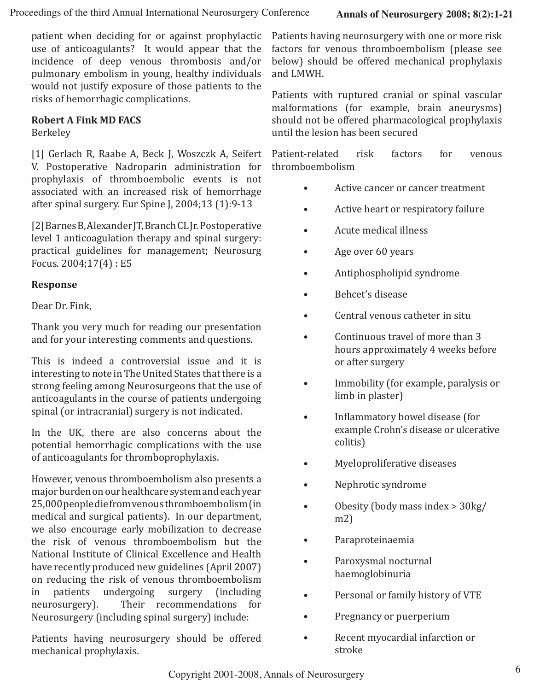patient when deciding for or against prophylactic use of anticoagulants? It would appear that the incidence of deep venous thrombosis and/or pulmonary embolism in young, healthy individuals would not justify exposure of those patients to the risks of hemorrhagic complications.

#### **Robert A Fink MD FACS**

Berkeley

[1] Gerlach R, Raabe A, Beck J, Woszczk A, Seifert V. Postoperative Nadroparin administration for prophylaxis of thromboembolic events is not associated with an increased risk of hemorrhage after spinal surgery. Eur Spine J, 2004;13 (1):9-13

[2] Barnes B, Alexander JT, Branch CL Jr. Postoperative level 1 anticoagulation therapy and spinal surgery: practical guidelines for management; Neurosurg Focus. 2004;17(4) : E5

#### **Response**

Dear Dr. Fink,

Thank you very much for reading our presentation and for your interesting comments and questions.

This is indeed a controversial issue and it is interesting to note in The United States that there is a strong feeling among Neurosurgeons that the use of anticoagulants in the course of patients undergoing spinal (or intracranial) surgery is not indicated.

In the UK, there are also concerns about the potential hemorrhagic complications with the use of anticoagulants for thromboprophylaxis.

However, venous thromboembolism also presents a major burden on our healthcare system and each year 25,000 people die from venous thromboembolism (in medical and surgical patients). In our department, we also encourage early mobilization to decrease the risk of venous thromboembolism but the National Institute of Clinical Excellence and Health have recently produced new guidelines (April 2007) on reducing the risk of venous thromboembolism<br>in patients undergoing surgery (including in patients undergoing<br>neurosurgery). Their i Their recommendations for Neurosurgery (including spinal surgery) include:

Patients having neurosurgery should be offered mechanical prophylaxis.

Patients having neurosurgery with one or more risk factors for venous thromboembolism (please see below) should be offered mechanical prophylaxis and LMWH.

Patients with ruptured cranial or spinal vascular malformations (for example, brain aneurysms) should not be offered pharmacological prophylaxis until the lesion has been secured

Patient-related risk factors for venous thromboembolism

- Active cancer or cancer treatment
- Active heart or respiratory failure
- Acute medical illness
- Age over 60 years
- Antiphospholipid syndrome
- Behcet's disease
- Central venous catheter in situ
- Continuous travel of more than 3 hours approximately 4 weeks before or after surgery
- Immobility (for example, paralysis or limb in plaster)
- Inflammatory bowel disease (for example Crohn's disease or ulcerative colitis)
- Myeloproliferative diseases
- Nephrotic syndrome
- Obesity (body mass index > 30kg/ m2)
- Paraproteinaemia
- Paroxysmal nocturnal haemoglobinuria
- Personal or family history of VTE
- Pregnancy or puerperium
- Recent myocardial infarction or stroke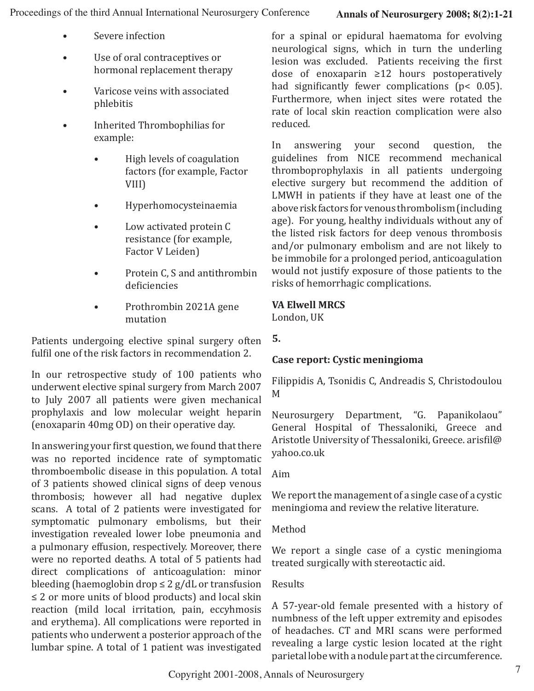- Severe infection
- Use of oral contraceptives or hormonal replacement therapy
- Varicose veins with associated phlebitis
- Inherited Thrombophilias for example:
	- High levels of coagulation factors (for example, Factor VIII)
	- Hyperhomocysteinaemia
	- Low activated protein C resistance (for example, Factor V Leiden)
	- Protein C, S and antithrombin deficiencies
	- Prothrombin 2021A gene mutation

Patients undergoing elective spinal surgery often fulfil one of the risk factors in recommendation 2.

In our retrospective study of 100 patients who underwent elective spinal surgery from March 2007 to July 2007 all patients were given mechanical prophylaxis and low molecular weight heparin (enoxaparin 40mg OD) on their operative day.

In answering your first question, we found that there was no reported incidence rate of symptomatic thromboembolic disease in this population. A total of 3 patients showed clinical signs of deep venous thrombosis; however all had negative duplex scans. A total of 2 patients were investigated for symptomatic pulmonary embolisms, but their investigation revealed lower lobe pneumonia and a pulmonary effusion, respectively. Moreover, there were no reported deaths. A total of 5 patients had direct complications of anticoagulation: minor bleeding (haemoglobin drop  $\leq 2$  g/dL or transfusion ≤ 2 or more units of blood products) and local skin reaction (mild local irritation, pain, eccyhmosis and erythema). All complications were reported in patients who underwent a posterior approach of the lumbar spine. A total of 1 patient was investigated

for a spinal or epidural haematoma for evolving neurological signs, which in turn the underling lesion was excluded. Patients receiving the first dose of enoxaparin ≥12 hours postoperatively had significantly fewer complications (p< 0.05). Furthermore, when inject sites were rotated the rate of local skin reaction complication were also reduced.

In answering your second question, the guidelines from NICE recommend mechanical thromboprophylaxis in all patients undergoing elective surgery but recommend the addition of LMWH in patients if they have at least one of the above risk factors for venous thrombolism (including age). For young, healthy individuals without any of the listed risk factors for deep venous thrombosis and/or pulmonary embolism and are not likely to be immobile for a prolonged period, anticoagulation would not justify exposure of those patients to the risks of hemorrhagic complications.

#### **VA Elwell MRCS**

London, UK

#### **5.**

#### **Case report: Cystic meningioma**

Filippidis A, Tsonidis C, Andreadis S, Christodoulou M

Neurosurgery Department, "G. Papanikolaou" General Hospital of Thessaloniki, Greece and Aristotle University of Thessaloniki, Greece. arisfil@ yahoo.co.uk

#### Aim

We report the management of a single case of a cystic meningioma and review the relative literature.

#### Method

We report a single case of a cystic meningioma treated surgically with stereotactic aid.

#### Results

A 57-year-old female presented with a history of numbness of the left upper extremity and episodes of headaches. CT and MRI scans were performed revealing a large cystic lesion located at the right parietal lobe with a nodule part at the circumference.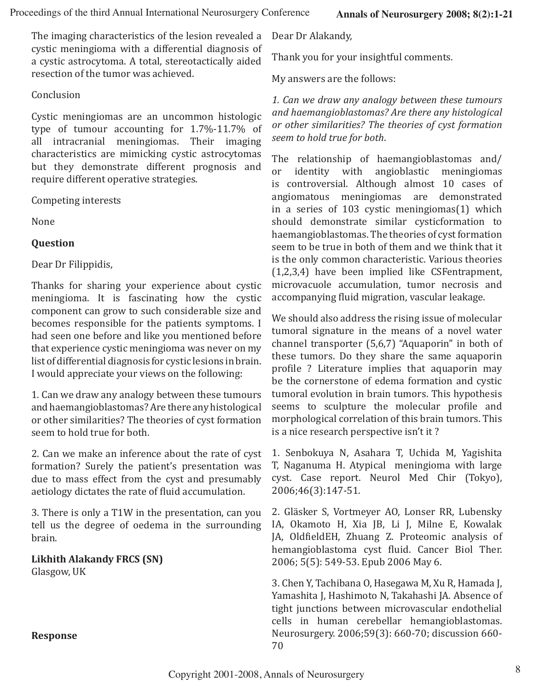The imaging characteristics of the lesion revealed a cystic meningioma with a differential diagnosis of a cystic astrocytoma. A total, stereotactically aided resection of the tumor was achieved.

#### Conclusion

Cystic meningiomas are an uncommon histologic type of tumour accounting for 1.7%-11.7% of all intracranial meningiomas. Their imaging characteristics are mimicking cystic astrocytomas but they demonstrate different prognosis and require different operative strategies.

Competing interests

None

#### **Question**

Dear Dr Filippidis,

Thanks for sharing your experience about cystic meningioma. It is fascinating how the cystic component can grow to such considerable size and becomes responsible for the patients symptoms. I had seen one before and like you mentioned before that experience cystic meningioma was never on my list of differential diagnosis for cystic lesions in brain. I would appreciate your views on the following:

1. Can we draw any analogy between these tumours and haemangioblastomas? Are there any histological or other similarities? The theories of cyst formation seem to hold true for both.

2. Can we make an inference about the rate of cyst formation? Surely the patient's presentation was due to mass effect from the cyst and presumably aetiology dictates the rate of fluid accumulation.

3. There is only a T1W in the presentation, can you tell us the degree of oedema in the surrounding brain.

**Likhith Alakandy FRCS (SN)** Glasgow, UK

Dear Dr Alakandy,

Thank you for your insightful comments.

My answers are the follows:

*1. Can we draw any analogy between these tumours and haemangioblastomas? Are there any histological or other similarities? The theories of cyst formation seem to hold true for both*.

The relationship of haemangioblastomas and/<br>or identity with angioblastic meningiomas identity with is controversial. Although almost 10 cases of angiomatous meningiomas are demonstrated in a series of 103 cystic meningiomas(1) which should demonstrate similar cysticformation to haemangioblastomas. The theories of cyst formation seem to be true in both of them and we think that it is the only common characteristic. Various theories (1,2,3,4) have been implied like CSFentrapment, microvacuole accumulation, tumor necrosis and accompanying fluid migration, vascular leakage.

We should also address the rising issue of molecular tumoral signature in the means of a novel water channel transporter (5,6,7) "Aquaporin" in both of these tumors. Do they share the same aquaporin profile ? Literature implies that aquaporin may be the cornerstone of edema formation and cystic tumoral evolution in brain tumors. This hypothesis seems to sculpture the molecular profile and morphological correlation of this brain tumors. This is a nice research perspective isn't it ?

1. Senbokuya N, Asahara T, Uchida M, Yagishita T, Naganuma H. Atypical meningioma with large cyst. Case report. Neurol Med Chir (Tokyo), 2006;46(3):147-51.

2. Gläsker S, Vortmeyer AO, Lonser RR, Lubensky IA, Okamoto H, Xia JB, Li J, Milne E, Kowalak JA, OldfieldEH, Zhuang Z. Proteomic analysis of hemangioblastoma cyst fluid. Cancer Biol Ther. 2006; 5(5): 549-53. Epub 2006 May 6.

3. Chen Y, Tachibana O, Hasegawa M, Xu R, Hamada J, Yamashita J, Hashimoto N, Takahashi JA. Absence of tight junctions between microvascular endothelial cells in human cerebellar hemangioblastomas. Neurosurgery. 2006;59(3): 660-70; discussion 660- 70

**Response**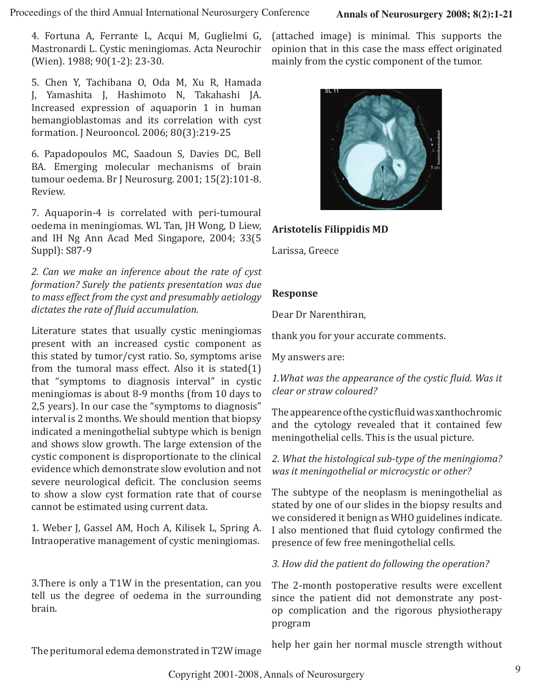4. Fortuna A, Ferrante L, Acqui M, Guglielmi G, Mastronardi L. Cystic meningiomas. Acta Neurochir (Wien). 1988; 90(1-2): 23-30.

5. Chen Y, Tachibana O, Oda M, Xu R, Hamada J, Yamashita J, Hashimoto N, Takahashi JA. Increased expression of aquaporin 1 in human hemangioblastomas and its correlation with cyst formation. J Neurooncol. 2006; 80(3):219-25

6. Papadopoulos MC, Saadoun S, Davies DC, Bell BA. Emerging molecular mechanisms of brain tumour oedema. Br J Neurosurg. 2001; 15(2):101-8. Review.

7. Aquaporin-4 is correlated with peri-tumoural oedema in meningiomas. WL Tan, JH Wong, D Liew, and IH Ng Ann Acad Med Singapore, 2004; 33(5 Suppl): S87-9

*2. Can we make an inference about the rate of cyst formation? Surely the patients presentation was due to mass effect from the cyst and presumably aetiology dictates the rate of fluid accumulation.*

Literature states that usually cystic meningiomas present with an increased cystic component as this stated by tumor/cyst ratio. So, symptoms arise from the tumoral mass effect. Also it is stated(1) that "symptoms to diagnosis interval" in cystic meningiomas is about 8-9 months (from 10 days to 2,5 years). In our case the "symptoms to diagnosis" interval is 2 months. We should mention that biopsy indicated a meningothelial subtype which is benign and shows slow growth. The large extension of the cystic component is disproportionate to the clinical evidence which demonstrate slow evolution and not severe neurological deficit. The conclusion seems to show a slow cyst formation rate that of course cannot be estimated using current data.

1. Weber J, Gassel AM, Hoch A, Kilisek L, Spring A. Intraoperative management of cystic meningiomas.

3.There is only a T1W in the presentation, can you tell us the degree of oedema in the surrounding brain.

(attached image) is minimal. This supports the opinion that in this case the mass effect originated mainly from the cystic component of the tumor.



#### **Aristotelis Filippidis MD**

Larissa, Greece

#### **Response**

Dear Dr Narenthiran,

thank you for your accurate comments.

My answers are:

*1.What was the appearance of the cystic fluid. Was it clear or straw coloured?*

The appearence of the cystic fluid was xanthochromic and the cytology revealed that it contained few meningothelial cells. This is the usual picture.

*2. What the histological sub-type of the meningioma? was it meningothelial or microcystic or other?*

The subtype of the neoplasm is meningothelial as stated by one of our slides in the biopsy results and we considered it benign as WHO guidelines indicate. I also mentioned that fluid cytology confirmed the presence of few free meningothelial cells.

*3. How did the patient do following the operation?*

The 2-month postoperative results were excellent since the patient did not demonstrate any postop complication and the rigorous physiotherapy program

The peritumoral edema demonstrated in T2W image

help her gain her normal muscle strength without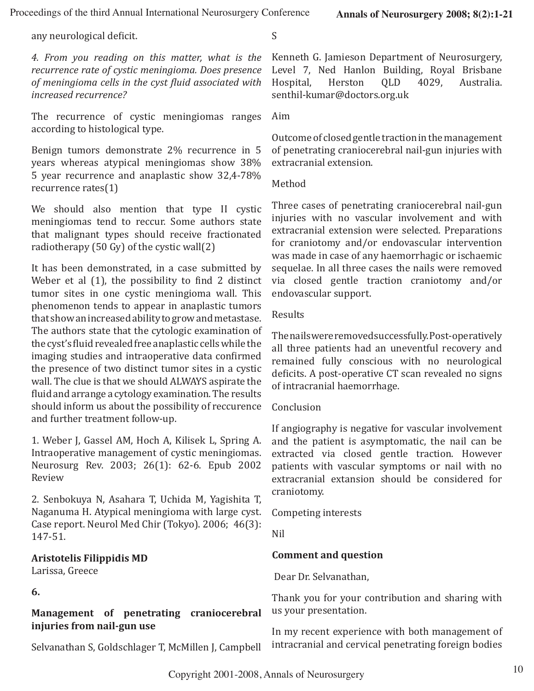any neurological deficit.

*4. From you reading on this matter, what is the recurrence rate of cystic meningioma. Does presence of meningioma cells in the cyst fluid associated with increased recurrence?* 

The recurrence of cystic meningiomas ranges according to histological type.

Benign tumors demonstrate 2% recurrence in 5 years whereas atypical meningiomas show 38% 5 year recurrence and anaplastic show 32,4-78% recurrence rates(1)

We should also mention that type II cystic meningiomas tend to reccur. Some authors state that malignant types should receive fractionated radiotherapy (50 Gy) of the cystic wall(2)

It has been demonstrated, in a case submitted by Weber et al  $(1)$ , the possibility to find 2 distinct tumor sites in one cystic meningioma wall. This phenomenon tends to appear in anaplastic tumors that show an increased ability to grow and metastase. The authors state that the cytologic examination of the cyst's fluid revealed free anaplastic cells while the imaging studies and intraoperative data confirmed the presence of two distinct tumor sites in a cystic wall. The clue is that we should ALWAYS aspirate the fluid and arrange a cytology examination. The results should inform us about the possibility of reccurence and further treatment follow-up.

1. Weber J, Gassel AM, Hoch A, Kilisek L, Spring A. Intraoperative management of cystic meningiomas. Neurosurg Rev. 2003; 26(1): 62-6. Epub 2002 Review

2. Senbokuya N, Asahara T, Uchida M, Yagishita T, Naganuma H. Atypical meningioma with large cyst. Case report. Neurol Med Chir (Tokyo). 2006; 46(3): 147-51.

#### **Aristotelis Filippidis MD**

Larissa, Greece

**6.**

**Management of penetrating craniocerebral injuries from nail-gun use**

Selvanathan S, Goldschlager T, McMillen J, Campbell

Kenneth G. Jamieson Department of Neurosurgery, Level 7, Ned Hanlon Building, Royal Brisbane<br>Hospital, Herston OLD 4029, Australia. Hospital, senthil-kumar@doctors.org.uk

Aim

S

Outcome of closed gentle traction in the management of penetrating craniocerebral nail-gun injuries with extracranial extension.

Method

Three cases of penetrating craniocerebral nail-gun injuries with no vascular involvement and with extracranial extension were selected. Preparations for craniotomy and/or endovascular intervention was made in case of any haemorrhagic or ischaemic sequelae. In all three cases the nails were removed via closed gentle traction craniotomy and/or endovascular support.

**Results** 

The nails were removed successfully. Post-operatively all three patients had an uneventful recovery and remained fully conscious with no neurological deficits. A post-operative CT scan revealed no signs of intracranial haemorrhage.

#### Conclusion

If angiography is negative for vascular involvement and the patient is asymptomatic, the nail can be extracted via closed gentle traction. However patients with vascular symptoms or nail with no extracranial extansion should be considered for craniotomy.

Competing interests

Nil

### **Comment and question**

Dear Dr. Selvanathan,

Thank you for your contribution and sharing with us your presentation.

In my recent experience with both management of intracranial and cervical penetrating foreign bodies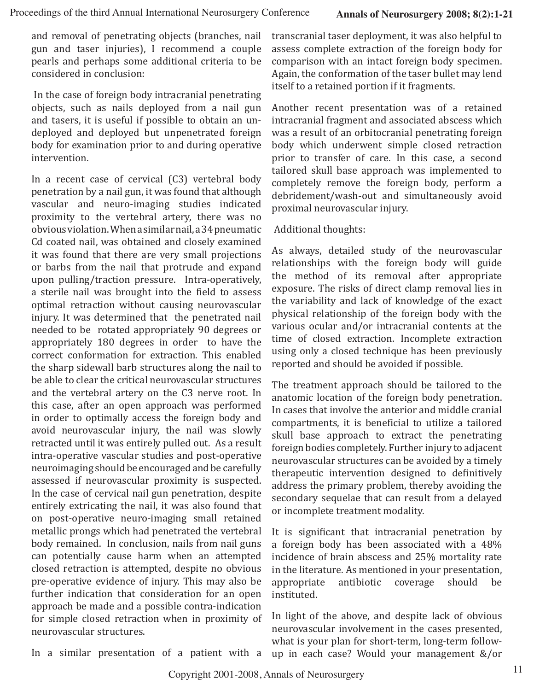and removal of penetrating objects (branches, nail gun and taser injuries), I recommend a couple pearls and perhaps some additional criteria to be considered in conclusion:

 In the case of foreign body intracranial penetrating objects, such as nails deployed from a nail gun and tasers, it is useful if possible to obtain an undeployed and deployed but unpenetrated foreign body for examination prior to and during operative intervention.

In a recent case of cervical (C3) vertebral body penetration by a nail gun, it was found that although vascular and neuro-imaging studies indicated proximity to the vertebral artery, there was no obvious violation. When a similar nail, a 34 pneumatic Cd coated nail, was obtained and closely examined it was found that there are very small projections or barbs from the nail that protrude and expand upon pulling/traction pressure. 

Intra-operatively, a sterile nail was brought into the field to assess optimal retraction without causing neurovascular injury. It was determined that the penetrated nail needed to be rotated appropriately 90 degrees or appropriately 180 degrees in order to have the correct conformation for extraction. This enabled the sharp sidewall barb structures along the nail to be able to clear the critical neurovascular structures and the vertebral artery on the C3 nerve root. In this case, after an open approach was performed in order to optimally access the foreign body and avoid neurovascular injury, the nail was slowly retracted until it was entirely pulled out. As a result intra-operative vascular studies and post-operative neuroimaging should be encouraged and be carefully assessed if neurovascular proximity is suspected. In the case of cervical nail gun penetration, despite entirely extricating the nail, it was also found that on post-operative neuro-imaging small retained metallic prongs which had penetrated the vertebral body remained. In conclusion, nails from nail guns can potentially cause harm when an attempted closed retraction is attempted, despite no obvious pre-operative evidence of injury. This may also be further indication that consideration for an open approach be made and a possible contra-indication for simple closed retraction when in proximity of neurovascular structures.

transcranial taser deployment, it was also helpful to assess complete extraction of the foreign body for comparison with an intact foreign body specimen. Again, the conformation of the taser bullet may lend itself to a retained portion if it fragments.

Another recent presentation was of a retained intracranial fragment and associated abscess which was a result of an orbitocranial penetrating foreign body which underwent simple closed retraction prior to transfer of care. In this case, a second tailored skull base approach was implemented to completely remove the foreign body, perform a debridement/wash-out and simultaneously avoid proximal neurovascular injury.

#### Additional thoughts:

As always, detailed study of the neurovascular relationships with the foreign body will guide the method of its removal after appropriate exposure. The risks of direct clamp removal lies in the variability and lack of knowledge of the exact physical relationship of the foreign body with the various ocular and/or intracranial contents at the time of closed extraction. Incomplete extraction using only a closed technique has been previously reported and should be avoided if possible.

The treatment approach should be tailored to the anatomic location of the foreign body penetration. In cases that involve the anterior and middle cranial compartments, it is beneficial to utilize a tailored skull base approach to extract the penetrating foreign bodies completely. Further injury to adjacent neurovascular structures can be avoided by a timely therapeutic intervention designed to definitively address the primary problem, thereby avoiding the secondary sequelae that can result from a delayed or incomplete treatment modality.

It is significant that intracranial penetration by a foreign body has been associated with a 48% incidence of brain abscess and 25% mortality rate in the literature. As mentioned in your presentation,<br>appropriate antibiotic coverage should be appropriate instituted.

In light of the above, and despite lack of obvious neurovascular involvement in the cases presented, what is your plan for short-term, long-term followup in each case? Would your management &/or

In a similar presentation of a patient with a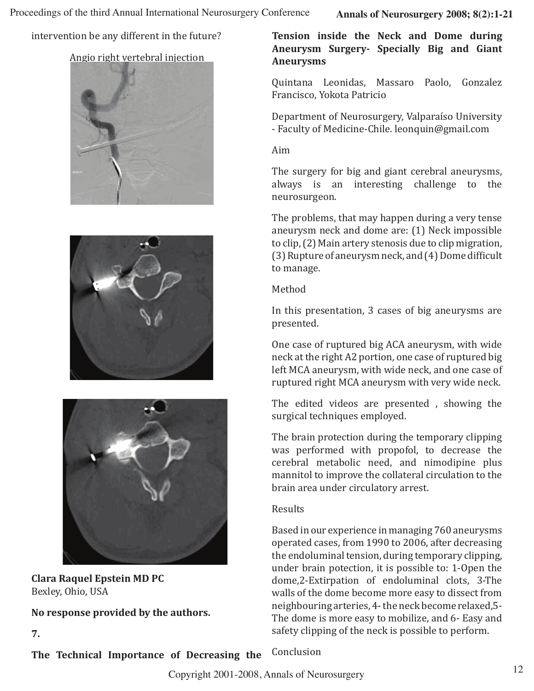intervention be any different in the future?

#### Angio right vertebral injection







**Clara Raquel Epstein MD PC** Bexley, Ohio, USA

**7.**

**No response provided by the authors.**

**Tension inside the Neck and Dome during Aneurysm Surgery- Specially Big and Giant Aneurysms**

Quintana Leonidas, Massaro Paolo, Gonzalez Francisco, Yokota Patricio

Department of Neurosurgery, Valparaíso University - Faculty of Medicine-Chile. leonquin@gmail.com

Aim

The surgery for big and giant cerebral aneurysms, always is an interesting challenge to the neurosurgeon.

The problems, that may happen during a very tense aneurysm neck and dome are: (1) Neck impossible to clip, (2) Main artery stenosis due to clip migration, (3) Rupture of aneurysm neck, and (4) Dome difficult to manage.

Method

In this presentation, 3 cases of big aneurysms are presented.

One case of ruptured big ACA aneurysm, with wide neck at the right A2 portion, one case of ruptured big left MCA aneurysm, with wide neck, and one case of ruptured right MCA aneurysm with very wide neck.

The edited videos are presented , showing the surgical techniques employed.

The brain protection during the temporary clipping was performed with propofol, to decrease the cerebral metabolic need, and nimodipine plus mannitol to improve the collateral circulation to the brain area under circulatory arrest.

#### Results

Based in our experience in managing 760 aneurysms operated cases, from 1990 to 2006, after decreasing the endoluminal tension, during temporary clipping, under brain potection, it is possible to: 1-Open the dome,2-Extirpation of endoluminal clots, 3-The walls of the dome become more easy to dissect from neighbouring arteries, 4- the neck become relaxed,5- The dome is more easy to mobilize, and 6- Easy and safety clipping of the neck is possible to perform.

**The Technical Importance of Decreasing the**  Conclusion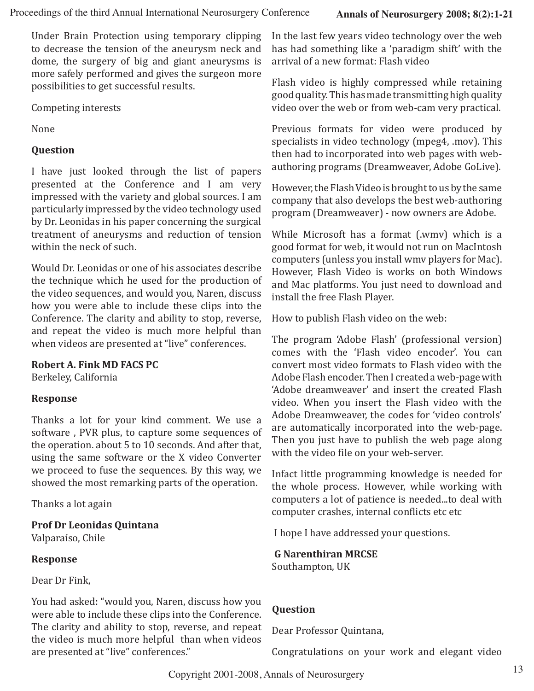Under Brain Protection using temporary clipping to decrease the tension of the aneurysm neck and dome, the surgery of big and giant aneurysms is more safely performed and gives the surgeon more possibilities to get successful results.

Competing interests

None

#### **Question**

I have just looked through the list of papers presented at the Conference and I am very impressed with the variety and global sources. I am particularly impressed by the video technology used by Dr. Leonidas in his paper concerning the surgical treatment of aneurysms and reduction of tension within the neck of such.

Would Dr. Leonidas or one of his associates describe the technique which he used for the production of the video sequences, and would you, Naren, discuss how you were able to include these clips into the Conference. The clarity and ability to stop, reverse, and repeat the video is much more helpful than when videos are presented at "live" conferences.

#### **Robert A. Fink MD FACS PC**

Berkeley, California

#### **Response**

Thanks a lot for your kind comment. We use a software , PVR plus, to capture some sequences of the operation. about 5 to 10 seconds. And after that, using the same software or the X video Converter we proceed to fuse the sequences. By this way, we showed the most remarking parts of the operation.

Thanks a lot again

**Prof Dr Leonidas Quintana**  Valparaíso, Chile

#### **Response**

Dear Dr Fink,

You had asked: "would you, Naren, discuss how you were able to include these clips into the Conference. The clarity and ability to stop, reverse, and repeat the video is much more helpful than when videos are presented at "live" conferences."

In the last few years video technology over the web has had something like a 'paradigm shift' with the arrival of a new format: Flash video

Flash video is highly compressed while retaining good quality. This has made transmitting high quality video over the web or from web-cam very practical.

Previous formats for video were produced by specialists in video technology (mpeg4, .mov). This then had to incorporated into web pages with webauthoring programs (Dreamweaver, Adobe GoLive).

However, the Flash Video is brought to us by the same company that also develops the best web-authoring program (Dreamweaver) - now owners are Adobe.

While Microsoft has a format (.wmv) which is a good format for web, it would not run on MacIntosh computers (unless you install wmv players for Mac). However, Flash Video is works on both Windows and Mac platforms. You just need to download and install the free Flash Player.

How to publish Flash video on the web:

The program 'Adobe Flash' (professional version) comes with the 'Flash video encoder'. You can convert most video formats to Flash video with the Adobe Flash encoder. Then I created a web-page with 'Adobe dreamweaver' and insert the created Flash video. When you insert the Flash video with the Adobe Dreamweaver, the codes for 'video controls' are automatically incorporated into the web-page. Then you just have to publish the web page along with the video file on your web-server.

Infact little programming knowledge is needed for the whole process. However, while working with computers a lot of patience is needed...to deal with computer crashes, internal conflicts etc etc

I hope I have addressed your questions.

 **G Narenthiran MRCSE** Southampton, UK

#### **Question**

Dear Professor Quintana,

Congratulations on your work and elegant video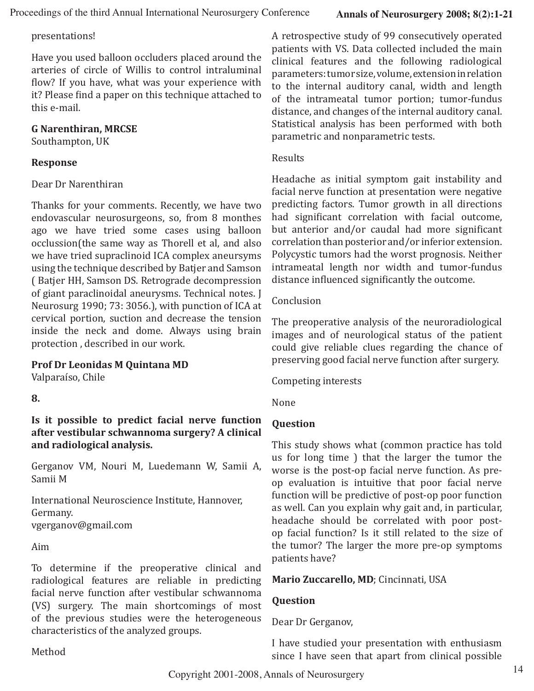#### presentations!

Have you used balloon occluders placed around the arteries of circle of Willis to control intraluminal flow? If you have, what was your experience with it? Please find a paper on this technique attached to this e-mail.

#### **G Narenthiran, MRCSE**

Southampton, UK

#### **Response**

#### Dear Dr Narenthiran

Thanks for your comments. Recently, we have two endovascular neurosurgeons, so, from 8 monthes ago we have tried some cases using balloon occlussion(the same way as Thorell et al, and also we have tried supraclinoid ICA complex aneursyms using the technique described by Batjer and Samson ( Batjer HH, Samson DS. Retrograde decompression of giant paraclinoidal aneurysms. Technical notes. J Neurosurg 1990; 73: 3056.), with punction of ICA at cervical portion, suction and decrease the tension inside the neck and dome. Always using brain protection , described in our work.

#### **Prof Dr Leonidas M Quintana MD**

Valparaíso, Chile

#### **8.**

**Is it possible to predict facial nerve function after vestibular schwannoma surgery? A clinical and radiological analysis.**

Gerganov VM, Nouri M, Luedemann W, Samii A, Samii M

International Neuroscience Institute, Hannover, Germany. vgerganov@gmail.com

Aim

To determine if the preoperative clinical and radiological features are reliable in predicting facial nerve function after vestibular schwannoma (VS) surgery. The main shortcomings of most of the previous studies were the heterogeneous characteristics of the analyzed groups.

Method

A retrospective study of 99 consecutively operated patients with VS. Data collected included the main clinical features and the following radiological parameters: tumor size, volume, extension in relation to the internal auditory canal, width and length of the intrameatal tumor portion; tumor-fundus distance, and changes of the internal auditory canal. Statistical analysis has been performed with both parametric and nonparametric tests.

#### Results

Headache as initial symptom gait instability and facial nerve function at presentation were negative predicting factors. Tumor growth in all directions had significant correlation with facial outcome, but anterior and/or caudal had more significant correlation than posterior and/or inferior extension. Polycystic tumors had the worst prognosis. Neither intrameatal length nor width and tumor-fundus distance influenced significantly the outcome.

#### Conclusion

The preoperative analysis of the neuroradiological images and of neurological status of the patient could give reliable clues regarding the chance of preserving good facial nerve function after surgery.

Competing interests

None

#### **Question**

This study shows what (common practice has told us for long time ) that the larger the tumor the worse is the post-op facial nerve function. As preop evaluation is intuitive that poor facial nerve function will be predictive of post-op poor function as well. Can you explain why gait and, in particular, headache should be correlated with poor postop facial function? Is it still related to the size of the tumor? The larger the more pre-op symptoms patients have?

#### **Mario Zuccarello, MD**; Cincinnati, USA

#### **Question**

Dear Dr Gerganov,

I have studied your presentation with enthusiasm since I have seen that apart from clinical possible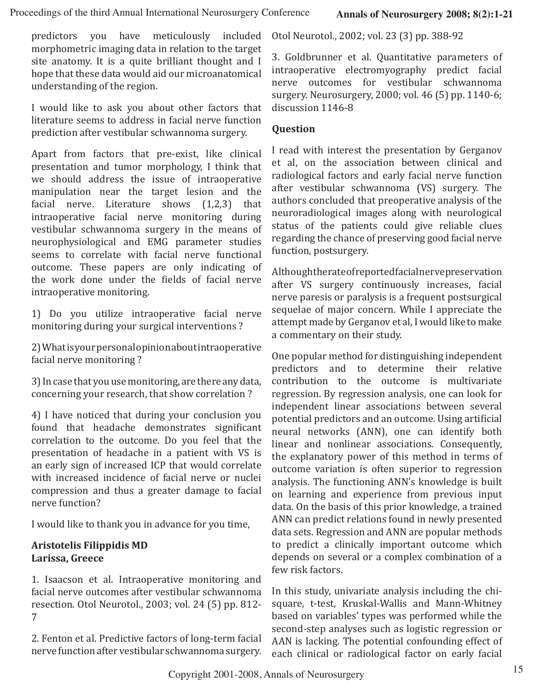predictors you have meticulously included morphometric imaging data in relation to the target site anatomy. It is a quite brilliant thought and I hope that these data would aid our microanatomical understanding of the region.

I would like to ask you about other factors that literature seems to address in facial nerve function prediction after vestibular schwannoma surgery.

Apart from factors that pre-exist, like clinical presentation and tumor morphology, I think that we should address the issue of intraoperative manipulation near the target lesion and the facial nerve. Literature shows (1,2,3) that intraoperative facial nerve monitoring during vestibular schwannoma surgery in the means of neurophysiological and EMG parameter studies seems to correlate with facial nerve functional outcome. These papers are only indicating of the work done under the fields of facial nerve intraoperative monitoring.

1) Do you utilize intraoperative facial nerve monitoring during your surgical interventions ?

2) What is your personal opinion about intraoperative facial nerve monitoring ?

3) In case that you use monitoring, are there any data, concerning your research, that show correlation ?

4) I have noticed that during your conclusion you found that headache demonstrates significant correlation to the outcome. Do you feel that the presentation of headache in a patient with VS is an early sign of increased ICP that would correlate with increased incidence of facial nerve or nuclei compression and thus a greater damage to facial nerve function?

I would like to thank you in advance for you time,

#### **Aristotelis Filippidis MD Larissa, Greece**

1. Isaacson et al. Intraoperative monitoring and facial nerve outcomes after vestibular schwannoma resection. Otol Neurotol., 2003; vol. 24 (5) pp. 812- 7

2. Fenton et al. Predictive factors of long-term facial nerve function after vestibular schwannoma surgery. Otol Neurotol., 2002; vol. 23 (3) pp. 388-92

3. Goldbrunner et al. Quantitative parameters of intraoperative electromyography predict facial nerve outcomes for vestibular schwannoma surgery. Neurosurgery, 2000; vol. 46 (5) pp. 1140-6; discussion 1146-8

#### **Question**

I read with interest the presentation by Gerganov et al, on the association between clinical and radiological factors and early facial nerve function after vestibular schwannoma (VS) surgery. The authors concluded that preoperative analysis of the neuroradiological images along with neurological status of the patients could give reliable clues regarding the chance of preserving good facial nerve function, postsurgery.

Although the rate of reported facial nerve preservation after VS surgery continuously increases, facial nerve paresis or paralysis is a frequent postsurgical sequelae of major concern. While I appreciate the attempt made by Gerganov et al, I would like to make a commentary on their study.

One popular method for distinguishing independent predictors and to determine their relative contribution to the outcome is multivariate regression. By regression analysis, one can look for independent linear associations between several potential predictors and an outcome. Using artificial neural networks (ANN), one can identify both linear and nonlinear associations. Consequently, the explanatory power of this method in terms of outcome variation is often superior to regression analysis. The functioning ANN's knowledge is built on learning and experience from previous input data. On the basis of this prior knowledge, a trained ANN can predict relations found in newly presented data sets. Regression and ANN are popular methods to predict a clinically important outcome which depends on several or a complex combination of a few risk factors.

In this study, univariate analysis including the chisquare, t-test, Kruskal-Wallis and Mann-Whitney based on variables' types was performed while the second-step analyses such as logistic regression or AAN is lacking. The potential confounding effect of each clinical or radiological factor on early facial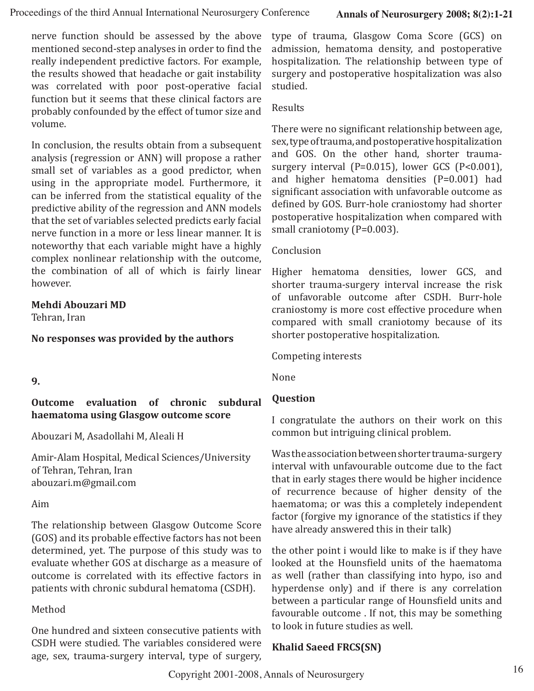nerve function should be assessed by the above mentioned second-step analyses in order to find the really independent predictive factors. For example, the results showed that headache or gait instability was correlated with poor post-operative facial function but it seems that these clinical factors are probably confounded by the effect of tumor size and volume.

In conclusion, the results obtain from a subsequent analysis (regression or ANN) will propose a rather small set of variables as a good predictor, when using in the appropriate model. Furthermore, it can be inferred from the statistical equality of the predictive ability of the regression and ANN models that the set of variables selected predicts early facial nerve function in a more or less linear manner. It is noteworthy that each variable might have a highly complex nonlinear relationship with the outcome, the combination of all of which is fairly linear however.

#### **Mehdi Abouzari MD**

Tehran, Iran

#### **No responses was provided by the authors**

#### **9.**

#### **Outcome evaluation of chronic subdural haematoma using Glasgow outcome score**

Abouzari M, Asadollahi M, Aleali H

Amir-Alam Hospital, Medical Sciences/University of Tehran, Tehran, Iran abouzari.m@gmail.com

#### Aim

The relationship between Glasgow Outcome Score (GOS) and its probable effective factors has not been determined, yet. The purpose of this study was to evaluate whether GOS at discharge as a measure of outcome is correlated with its effective factors in patients with chronic subdural hematoma (CSDH).

#### Method

One hundred and sixteen consecutive patients with CSDH were studied. The variables considered were age, sex, trauma-surgery interval, type of surgery, type of trauma, Glasgow Coma Score (GCS) on admission, hematoma density, and postoperative hospitalization. The relationship between type of surgery and postoperative hospitalization was also studied.

#### Results

There were no significant relationship between age, sex, type of trauma, and postoperative hospitalization and GOS. On the other hand, shorter traumasurgery interval (P=0.015), lower GCS (P<0.001), and higher hematoma densities (P=0.001) had significant association with unfavorable outcome as defined by GOS. Burr-hole craniostomy had shorter postoperative hospitalization when compared with small craniotomy (P=0.003).

#### Conclusion

Higher hematoma densities, lower GCS, and shorter trauma-surgery interval increase the risk of unfavorable outcome after CSDH. Burr-hole craniostomy is more cost effective procedure when compared with small craniotomy because of its shorter postoperative hospitalization.

Competing interests

None

#### **Question**

I congratulate the authors on their work on this common but intriguing clinical problem.

Was the association between shorter trauma-surgery interval with unfavourable outcome due to the fact that in early stages there would be higher incidence of recurrence because of higher density of the haematoma; or was this a completely independent factor (forgive my ignorance of the statistics if they have already answered this in their talk)

the other point i would like to make is if they have looked at the Hounsfield units of the haematoma as well (rather than classifying into hypo, iso and hyperdense only) and if there is any correlation between a particular range of Hounsfield units and favourable outcome . If not, this may be something to look in future studies as well.

#### **Khalid Saeed FRCS(SN)**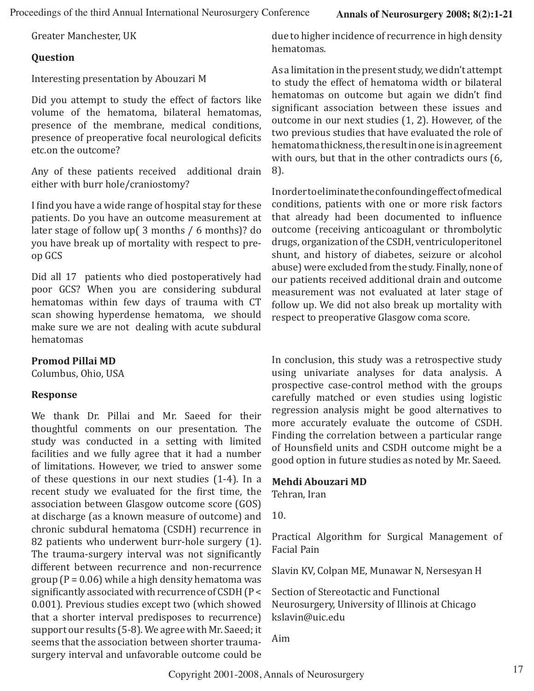Greater Manchester, UK

#### **Question**

Interesting presentation by Abouzari M

Did you attempt to study the effect of factors like volume of the hematoma, bilateral hematomas, presence of the membrane, medical conditions, presence of preoperative focal neurological deficits etc.on the outcome?

Any of these patients received additional drain either with burr hole/craniostomy?

I find you have a wide range of hospital stay for these patients. Do you have an outcome measurement at later stage of follow up( 3 months / 6 months)? do you have break up of mortality with respect to preop GCS

Did all 17 patients who died postoperatively had poor GCS? When you are considering subdural hematomas within few days of trauma with CT scan showing hyperdense hematoma, we should make sure we are not dealing with acute subdural hematomas

#### **Promod Pillai MD**

Columbus, Ohio, USA

#### **Response**

We thank Dr. Pillai and Mr. Saeed for their thoughtful comments on our presentation. The study was conducted in a setting with limited facilities and we fully agree that it had a number of limitations. However, we tried to answer some of these questions in our next studies (1-4). In a recent study we evaluated for the first time, the association between Glasgow outcome score (GOS) at discharge (as a known measure of outcome) and chronic subdural hematoma (CSDH) recurrence in 82 patients who underwent burr-hole surgery (1). The trauma-surgery interval was not significantly different between recurrence and non-recurrence group ( $P = 0.06$ ) while a high density hematoma was significantly associated with recurrence of CSDH (P < 0.001). Previous studies except two (which showed that a shorter interval predisposes to recurrence) support our results (5-8). We agree with Mr. Saeed; it seems that the association between shorter traumasurgery interval and unfavorable outcome could be due to higher incidence of recurrence in high density hematomas.

As a limitation in the present study, we didn't attempt to study the effect of hematoma width or bilateral hematomas on outcome but again we didn't find significant association between these issues and outcome in our next studies (1, 2). However, of the two previous studies that have evaluated the role of hematoma thickness, the result in one is in agreement with ours, but that in the other contradicts ours (6, 8).

In order to eliminate the confounding effect of medical conditions, patients with one or more risk factors that already had been documented to influence outcome (receiving anticoagulant or thrombolytic drugs, organization of the CSDH, ventriculoperitonel shunt, and history of diabetes, seizure or alcohol abuse) were excluded from the study. Finally, none of our patients received additional drain and outcome measurement was not evaluated at later stage of follow up. We did not also break up mortality with respect to preoperative Glasgow coma score.

In conclusion, this study was a retrospective study using univariate analyses for data analysis. A prospective case-control method with the groups carefully matched or even studies using logistic regression analysis might be good alternatives to more accurately evaluate the outcome of CSDH. Finding the correlation between a particular range of Hounsfield units and CSDH outcome might be a good option in future studies as noted by Mr. Saeed.

#### **Mehdi Abouzari MD**

Tehran, Iran

10.

Practical Algorithm for Surgical Management of Facial Pain

Slavin KV, Colpan ME, Munawar N, Nersesyan H

Section of Stereotactic and Functional Neurosurgery, University of Illinois at Chicago kslavin@uic.edu

Aim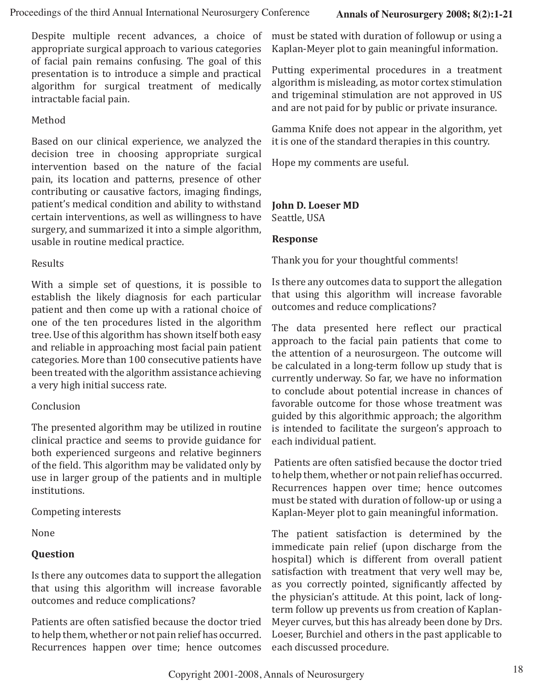Despite multiple recent advances, a choice of appropriate surgical approach to various categories of facial pain remains confusing. The goal of this presentation is to introduce a simple and practical algorithm for surgical treatment of medically intractable facial pain.

#### Method

Based on our clinical experience, we analyzed the decision tree in choosing appropriate surgical intervention based on the nature of the facial pain, its location and patterns, presence of other contributing or causative factors, imaging findings, patient's medical condition and ability to withstand certain interventions, as well as willingness to have surgery, and summarized it into a simple algorithm, usable in routine medical practice.

#### Results

With a simple set of questions, it is possible to establish the likely diagnosis for each particular patient and then come up with a rational choice of one of the ten procedures listed in the algorithm tree. Use of this algorithm has shown itself both easy and reliable in approaching most facial pain patient categories. More than 100 consecutive patients have been treated with the algorithm assistance achieving a very high initial success rate.

#### Conclusion

The presented algorithm may be utilized in routine clinical practice and seems to provide guidance for both experienced surgeons and relative beginners of the field. This algorithm may be validated only by use in larger group of the patients and in multiple institutions.

Competing interests

None

#### **Question**

Is there any outcomes data to support the allegation that using this algorithm will increase favorable outcomes and reduce complications?

Patients are often satisfied because the doctor tried to help them, whether or not pain relief has occurred. Recurrences happen over time; hence outcomes

must be stated with duration of followup or using a Kaplan-Meyer plot to gain meaningful information.

Putting experimental procedures in a treatment algorithm is misleading, as motor cortex stimulation and trigeminal stimulation are not approved in US and are not paid for by public or private insurance.

Gamma Knife does not appear in the algorithm, yet it is one of the standard therapies in this country.

Hope my comments are useful.

#### **John D. Loeser MD**

Seattle, USA

#### **Response**

Thank you for your thoughtful comments!

Is there any outcomes data to support the allegation that using this algorithm will increase favorable outcomes and reduce complications?

The data presented here reflect our practical approach to the facial pain patients that come to the attention of a neurosurgeon. The outcome will be calculated in a long-term follow up study that is currently underway. So far, we have no information to conclude about potential increase in chances of favorable outcome for those whose treatment was guided by this algorithmic approach; the algorithm is intended to facilitate the surgeon's approach to each individual patient.

 Patients are often satisfied because the doctor tried to help them, whether or not pain relief has occurred. Recurrences happen over time; hence outcomes must be stated with duration of follow-up or using a Kaplan-Meyer plot to gain meaningful information.

The patient satisfaction is determined by the immedicate pain relief (upon discharge from the hospital) which is different from overall patient satisfaction with treatment that very well may be, as you correctly pointed, significantly affected by the physician's attitude. At this point, lack of longterm follow up prevents us from creation of Kaplan-Meyer curves, but this has already been done by Drs. Loeser, Burchiel and others in the past applicable to each discussed procedure.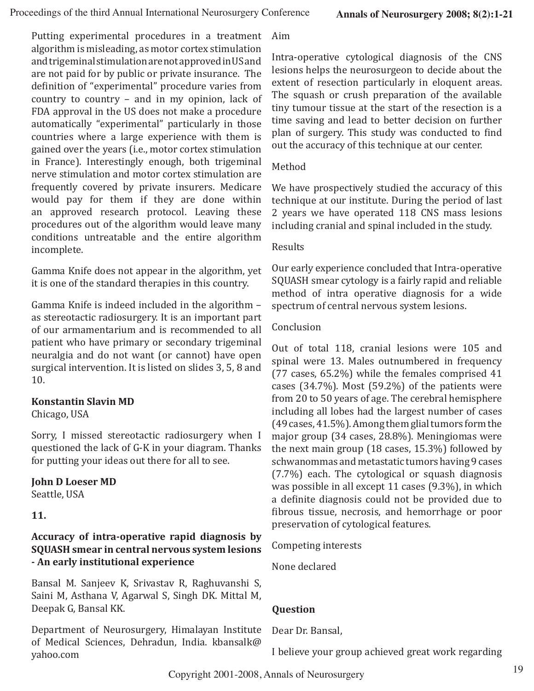Putting experimental procedures in a treatment algorithm is misleading, as motor cortex stimulation and trigeminal stimulation are not approved in US and are not paid for by public or private insurance. The definition of "experimental" procedure varies from country to country – and in my opinion, lack of FDA approval in the US does not make a procedure automatically "experimental" particularly in those countries where a large experience with them is gained over the years (i.e., motor cortex stimulation in France). Interestingly enough, both trigeminal nerve stimulation and motor cortex stimulation are frequently covered by private insurers. Medicare would pay for them if they are done within an approved research protocol. Leaving these procedures out of the algorithm would leave many conditions untreatable and the entire algorithm incomplete.

Gamma Knife does not appear in the algorithm, yet it is one of the standard therapies in this country.

Gamma Knife is indeed included in the algorithm – as stereotactic radiosurgery. It is an important part of our armamentarium and is recommended to all patient who have primary or secondary trigeminal neuralgia and do not want (or cannot) have open surgical intervention. It is listed on slides 3, 5, 8 and 10.

#### **Konstantin Slavin MD**

Chicago, USA

Sorry, I missed stereotactic radiosurgery when I questioned the lack of G-K in your diagram. Thanks for putting your ideas out there for all to see.

#### **John D Loeser MD**

Seattle, USA

**11.**

#### **Accuracy of intra-operative rapid diagnosis by SQUASH smear in central nervous system lesions - An early institutional experience**

Bansal M. Sanjeev K, Srivastav R, Raghuvanshi S, Saini M, Asthana V, Agarwal S, Singh DK. Mittal M, Deepak G, Bansal KK.

Department of Neurosurgery, Himalayan Institute of Medical Sciences, Dehradun, India. kbansalk@ yahoo.com

Aim

Intra-operative cytological diagnosis of the CNS lesions helps the neurosurgeon to decide about the extent of resection particularly in eloquent areas. The squash or crush preparation of the available tiny tumour tissue at the start of the resection is a time saving and lead to better decision on further plan of surgery. This study was conducted to find out the accuracy of this technique at our center.

#### Method

We have prospectively studied the accuracy of this technique at our institute. During the period of last 2 years we have operated 118 CNS mass lesions including cranial and spinal included in the study.

#### Results

Our early experience concluded that Intra-operative SQUASH smear cytology is a fairly rapid and reliable method of intra operative diagnosis for a wide spectrum of central nervous system lesions.

#### Conclusion

Out of total 118, cranial lesions were 105 and spinal were 13. Males outnumbered in frequency (77 cases, 65.2%) while the females comprised 41 cases (34.7%). Most (59.2%) of the patients were from 20 to 50 years of age. The cerebral hemisphere including all lobes had the largest number of cases (49 cases, 41.5%). Among them glial tumors form the major group (34 cases, 28.8%). Meningiomas were the next main group (18 cases, 15.3%) followed by schwanommas and metastatic tumors having 9 cases (7.7%) each. The cytological or squash diagnosis was possible in all except 11 cases (9.3%), in which a definite diagnosis could not be provided due to fibrous tissue, necrosis, and hemorrhage or poor preservation of cytological features.

Competing interests

None declared

#### **Question**

Dear Dr. Bansal,

I believe your group achieved great work regarding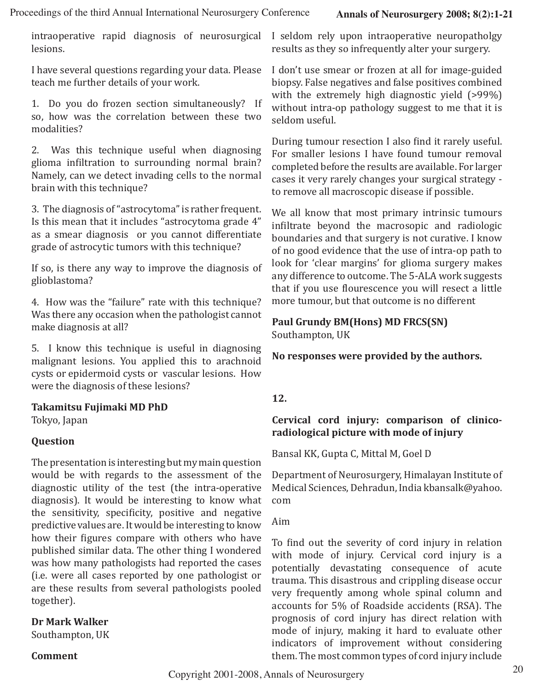intraoperative rapid diagnosis of neurosurgical lesions.

I have several questions regarding your data. Please teach me further details of your work.

1. Do you do frozen section simultaneously? If so, how was the correlation between these two modalities?

2. Was this technique useful when diagnosing glioma infiltration to surrounding normal brain? Namely, can we detect invading cells to the normal brain with this technique?

3. The diagnosis of "astrocytoma" is rather frequent. Is this mean that it includes "astrocytoma grade 4" as a smear diagnosis or you cannot differentiate grade of astrocytic tumors with this technique?

If so, is there any way to improve the diagnosis of glioblastoma?

4. How was the "failure" rate with this technique? Was there any occasion when the pathologist cannot make diagnosis at all?

5. I know this technique is useful in diagnosing malignant lesions. You applied this to arachnoid cysts or epidermoid cysts or vascular lesions. How were the diagnosis of these lesions?

#### **Takamitsu Fujimaki MD PhD**

Tokyo, Japan

#### **Question**

The presentation is interesting but my main question would be with regards to the assessment of the diagnostic utility of the test (the intra-operative diagnosis). It would be interesting to know what the sensitivity, specificity, positive and negative predictive values are. It would be interesting to know how their figures compare with others who have published similar data. The other thing I wondered was how many pathologists had reported the cases (i.e. were all cases reported by one pathologist or are these results from several pathologists pooled together).

#### **Dr Mark Walker**

Southampton, UK

#### **Comment**

I seldom rely upon intraoperative neuropatholgy results as they so infrequently alter your surgery.

I don't use smear or frozen at all for image-guided biopsy. False negatives and false positives combined with the extremely high diagnostic yield (>99%) without intra-op pathology suggest to me that it is seldom useful.

During tumour resection I also find it rarely useful. For smaller lesions I have found tumour removal completed before the results are available. For larger cases it very rarely changes your surgical strategy to remove all macroscopic disease if possible.

We all know that most primary intrinsic tumours infiltrate beyond the macrosopic and radiologic boundaries and that surgery is not curative. I know of no good evidence that the use of intra-op path to look for 'clear margins' for glioma surgery makes any difference to outcome. The 5-ALA work suggests that if you use flourescence you will resect a little more tumour, but that outcome is no different

### **Paul Grundy BM(Hons) MD FRCS(SN)**

Southampton, UK

**No responses were provided by the authors.**

#### **12.**

#### **Cervical cord injury: comparison of clinicoradiological picture with mode of injury**

Bansal KK, Gupta C, Mittal M, Goel D

Department of Neurosurgery, Himalayan Institute of Medical Sciences, Dehradun, India kbansalk@yahoo. com

Aim

To find out the severity of cord injury in relation with mode of injury. Cervical cord injury is a potentially devastating consequence of acute trauma. This disastrous and crippling disease occur very frequently among whole spinal column and accounts for 5% of Roadside accidents (RSA). The prognosis of cord injury has direct relation with mode of injury, making it hard to evaluate other indicators of improvement without considering them. The most common types of cord injury include